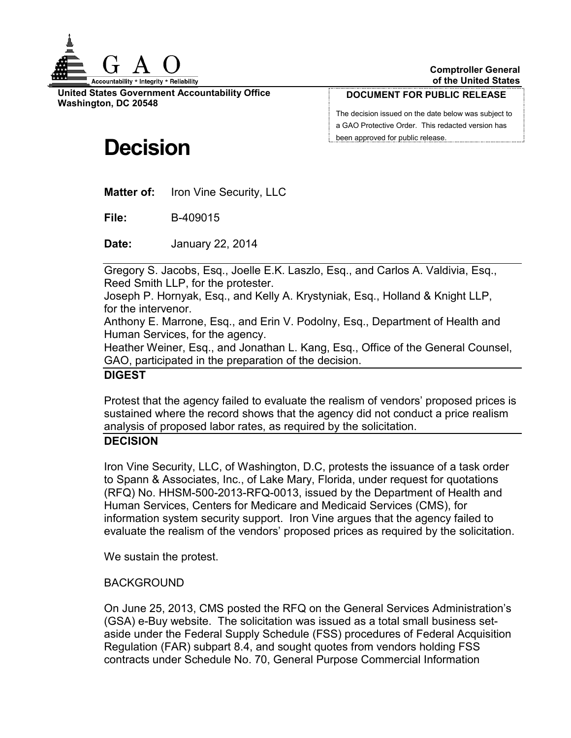

**United States Government Accountability Office Washington, DC 20548**

#### **DOCUMENT FOR PUBLIC RELEASE**

The decision issued on the date below was subject to a GAO Protective Order. This redacted version has been approved for public release.

# **Decision**

**Matter of:** Iron Vine Security, LLC

**File:** B-409015

**Date:** January 22, 2014

Gregory S. Jacobs, Esq., Joelle E.K. Laszlo, Esq., and Carlos A. Valdivia, Esq., Reed Smith LLP, for the protester.

Joseph P. Hornyak, Esq., and Kelly A. Krystyniak, Esq., Holland & Knight LLP, for the intervenor.

Anthony E. Marrone, Esq., and Erin V. Podolny, Esq., Department of Health and Human Services, for the agency.

Heather Weiner, Esq., and Jonathan L. Kang, Esq., Office of the General Counsel, GAO, participated in the preparation of the decision.

## **DIGEST**

Protest that the agency failed to evaluate the realism of vendors' proposed prices is sustained where the record shows that the agency did not conduct a price realism analysis of proposed labor rates, as required by the solicitation.

### **DECISION**

Iron Vine Security, LLC, of Washington, D.C, protests the issuance of a task order to Spann & Associates, Inc., of Lake Mary, Florida, under request for quotations (RFQ) No. HHSM-500-2013-RFQ-0013, issued by the Department of Health and Human Services, Centers for Medicare and Medicaid Services (CMS), for information system security support. Iron Vine argues that the agency failed to evaluate the realism of the vendors' proposed prices as required by the solicitation.

We sustain the protest.

## BACKGROUND

On June 25, 2013, CMS posted the RFQ on the General Services Administration's (GSA) e-Buy website. The solicitation was issued as a total small business setaside under the Federal Supply Schedule (FSS) procedures of Federal Acquisition Regulation (FAR) subpart 8.4, and sought quotes from vendors holding FSS contracts under Schedule No. 70, General Purpose Commercial Information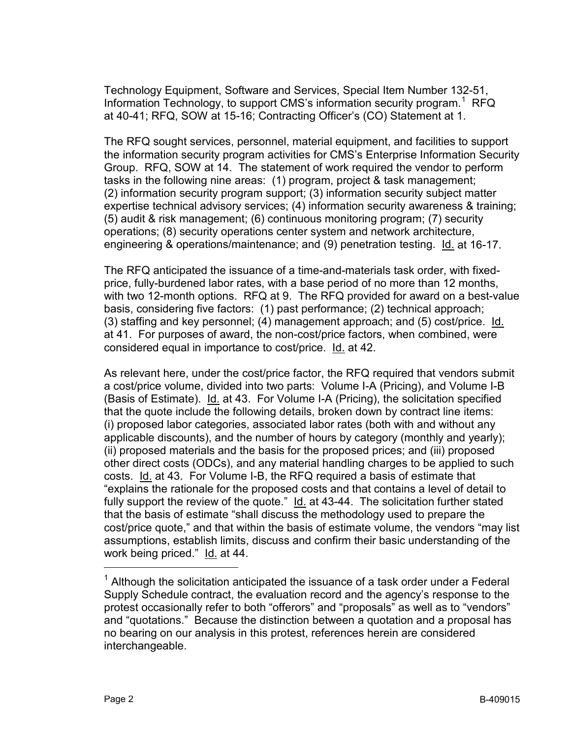Technology Equipment, Software and Services, Special Item Number 132-51, Information Technology, to support CMS's information security program.<sup>[1](#page-1-0)</sup> RFQ at 40-41; RFQ, SOW at 15-16; Contracting Officer's (CO) Statement at 1.

The RFQ sought services, personnel, material equipment, and facilities to support the information security program activities for CMS's Enterprise Information Security Group. RFQ, SOW at 14. The statement of work required the vendor to perform tasks in the following nine areas: (1) program, project & task management; (2) information security program support; (3) information security subject matter expertise technical advisory services; (4) information security awareness & training; (5) audit & risk management; (6) continuous monitoring program; (7) security operations; (8) security operations center system and network architecture, engineering & operations/maintenance; and (9) penetration testing. Id. at 16-17.

The RFQ anticipated the issuance of a time-and-materials task order, with fixedprice, fully-burdened labor rates, with a base period of no more than 12 months, with two 12-month options. RFQ at 9. The RFQ provided for award on a best-value basis, considering five factors: (1) past performance; (2) technical approach; (3) staffing and key personnel; (4) management approach; and (5) cost/price. Id. at 41. For purposes of award, the non-cost/price factors, when combined, were considered equal in importance to cost/price. Id. at 42.

As relevant here, under the cost/price factor, the RFQ required that vendors submit a cost/price volume, divided into two parts: Volume I-A (Pricing), and Volume I-B (Basis of Estimate). Id. at 43. For Volume I-A (Pricing), the solicitation specified that the quote include the following details, broken down by contract line items: (i) proposed labor categories, associated labor rates (both with and without any applicable discounts), and the number of hours by category (monthly and yearly); (ii) proposed materials and the basis for the proposed prices; and (iii) proposed other direct costs (ODCs), and any material handling charges to be applied to such costs. Id. at 43. For Volume I-B, the RFQ required a basis of estimate that "explains the rationale for the proposed costs and that contains a level of detail to fully support the review of the quote." Id. at 43-44. The solicitation further stated that the basis of estimate "shall discuss the methodology used to prepare the cost/price quote," and that within the basis of estimate volume, the vendors "may list assumptions, establish limits, discuss and confirm their basic understanding of the work being priced." Id. at 44.

<span id="page-1-0"></span> $1$  Although the solicitation anticipated the issuance of a task order under a Federal Supply Schedule contract, the evaluation record and the agency's response to the protest occasionally refer to both "offerors" and "proposals" as well as to "vendors" and "quotations." Because the distinction between a quotation and a proposal has no bearing on our analysis in this protest, references herein are considered interchangeable.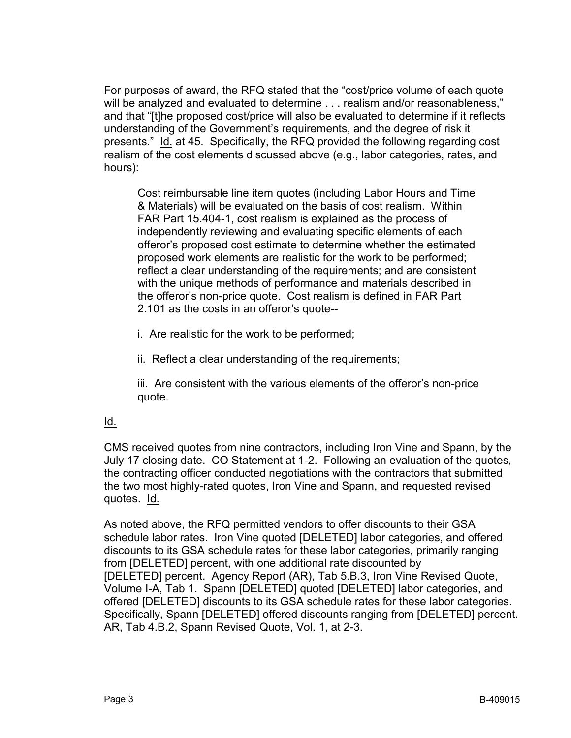For purposes of award, the RFQ stated that the "cost/price volume of each quote will be analyzed and evaluated to determine . . . realism and/or reasonableness," and that "[t]he proposed cost/price will also be evaluated to determine if it reflects understanding of the Government's requirements, and the degree of risk it presents." Id. at 45. Specifically, the RFQ provided the following regarding cost realism of the cost elements discussed above (e.g., labor categories, rates, and hours):

Cost reimbursable line item quotes (including Labor Hours and Time & Materials) will be evaluated on the basis of cost realism. Within FAR Part 15.404-1, cost realism is explained as the process of independently reviewing and evaluating specific elements of each offeror's proposed cost estimate to determine whether the estimated proposed work elements are realistic for the work to be performed; reflect a clear understanding of the requirements; and are consistent with the unique methods of performance and materials described in the offeror's non-price quote. Cost realism is defined in FAR Part 2.101 as the costs in an offeror's quote--

i. Are realistic for the work to be performed;

ii. Reflect a clear understanding of the requirements;

iii. Are consistent with the various elements of the offeror's non-price quote.

## Id.

CMS received quotes from nine contractors, including Iron Vine and Spann, by the July 17 closing date. CO Statement at 1-2. Following an evaluation of the quotes, the contracting officer conducted negotiations with the contractors that submitted the two most highly-rated quotes, Iron Vine and Spann, and requested revised quotes. Id.

As noted above, the RFQ permitted vendors to offer discounts to their GSA schedule labor rates. Iron Vine quoted [DELETED] labor categories, and offered discounts to its GSA schedule rates for these labor categories, primarily ranging from [DELETED] percent, with one additional rate discounted by [DELETED] percent. Agency Report (AR), Tab 5.B.3, Iron Vine Revised Quote, Volume I-A, Tab 1. Spann [DELETED] quoted [DELETED] labor categories, and offered [DELETED] discounts to its GSA schedule rates for these labor categories. Specifically, Spann [DELETED] offered discounts ranging from [DELETED] percent. AR, Tab 4.B.2, Spann Revised Quote, Vol. 1, at 2-3.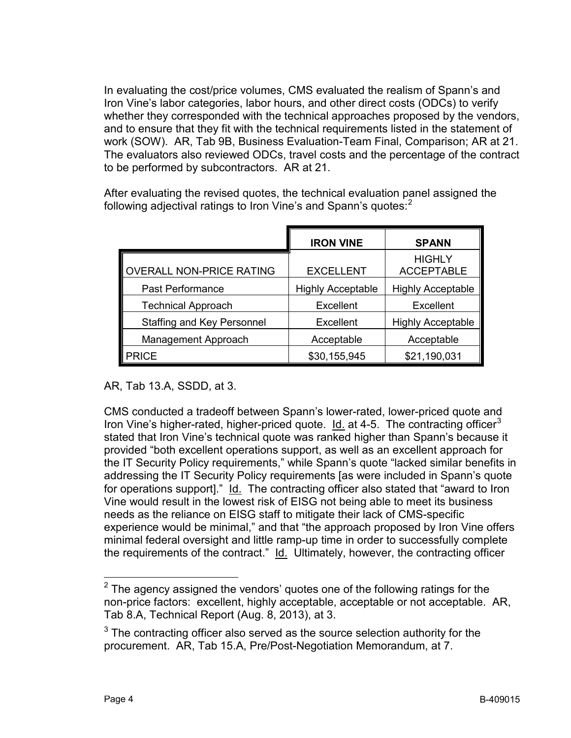In evaluating the cost/price volumes, CMS evaluated the realism of Spann's and Iron Vine's labor categories, labor hours, and other direct costs (ODCs) to verify whether they corresponded with the technical approaches proposed by the vendors, and to ensure that they fit with the technical requirements listed in the statement of work (SOW). AR, Tab 9B, Business Evaluation-Team Final, Comparison; AR at 21. The evaluators also reviewed ODCs, travel costs and the percentage of the contract to be performed by subcontractors. AR at 21.

After evaluating the revised quotes, the technical evaluation panel assigned the following adjectival ratings to Iron Vine's and Spann's quotes:<sup>[2](#page-3-0)</sup>

|                                   | <b>IRON VINE</b>         | <b>SPANN</b>                       |
|-----------------------------------|--------------------------|------------------------------------|
| <b>OVERALL NON-PRICE RATING</b>   | <b>EXCELLENT</b>         | <b>HIGHLY</b><br><b>ACCEPTABLE</b> |
| <b>Past Performance</b>           | <b>Highly Acceptable</b> | <b>Highly Acceptable</b>           |
| <b>Technical Approach</b>         | Excellent                | <b>Excellent</b>                   |
| <b>Staffing and Key Personnel</b> | Excellent                | <b>Highly Acceptable</b>           |
| Management Approach               | Acceptable               | Acceptable                         |
| <b>PRICE</b>                      | \$30,155,945             | \$21,190,031                       |

AR, Tab 13.A, SSDD, at 3.

CMS conducted a tradeoff between Spann's lower-rated, lower-priced quote and Iron Vine's higher-rated, higher-priced quote. Id. at 4-5. The contracting officer<sup>[3](#page-3-1)</sup> stated that Iron Vine's technical quote was ranked higher than Spann's because it provided "both excellent operations support, as well as an excellent approach for the IT Security Policy requirements," while Spann's quote "lacked similar benefits in addressing the IT Security Policy requirements [as were included in Spann's quote for operations support]." Id. The contracting officer also stated that "award to Iron Vine would result in the lowest risk of EISG not being able to meet its business needs as the reliance on EISG staff to mitigate their lack of CMS-specific experience would be minimal," and that "the approach proposed by Iron Vine offers minimal federal oversight and little ramp-up time in order to successfully complete the requirements of the contract." Id. Ultimately, however, the contracting officer

<span id="page-3-0"></span> $2$  The agency assigned the vendors' quotes one of the following ratings for the non-price factors: excellent, highly acceptable, acceptable or not acceptable. AR, Tab 8.A, Technical Report (Aug. 8, 2013), at 3.

<span id="page-3-1"></span> $3$  The contracting officer also served as the source selection authority for the procurement. AR, Tab 15.A, Pre/Post-Negotiation Memorandum, at 7.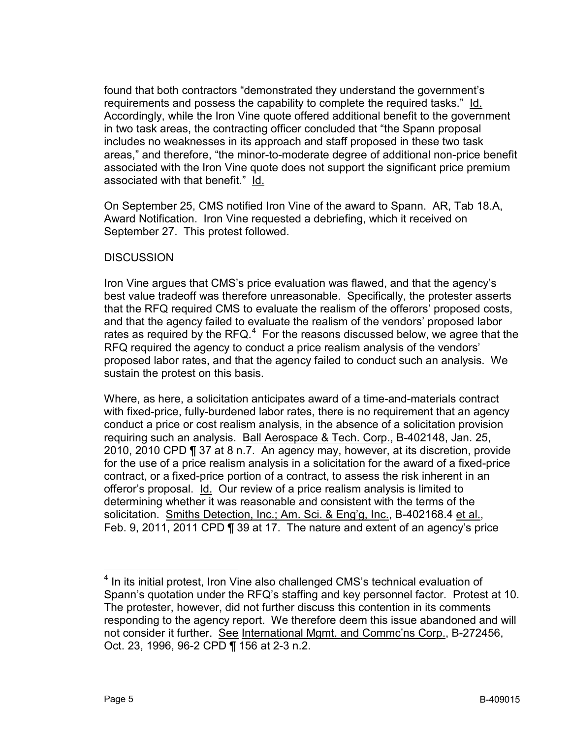found that both contractors "demonstrated they understand the government's requirements and possess the capability to complete the required tasks." Id. Accordingly, while the Iron Vine quote offered additional benefit to the government in two task areas, the contracting officer concluded that "the Spann proposal includes no weaknesses in its approach and staff proposed in these two task areas," and therefore, "the minor-to-moderate degree of additional non-price benefit associated with the Iron Vine quote does not support the significant price premium associated with that benefit." Id.

On September 25, CMS notified Iron Vine of the award to Spann. AR, Tab 18.A, Award Notification. Iron Vine requested a debriefing, which it received on September 27. This protest followed.

#### **DISCUSSION**

Iron Vine argues that CMS's price evaluation was flawed, and that the agency's best value tradeoff was therefore unreasonable. Specifically, the protester asserts that the RFQ required CMS to evaluate the realism of the offerors' proposed costs, and that the agency failed to evaluate the realism of the vendors' proposed labor rates as required by the RFQ. $4$  For the reasons discussed below, we agree that the RFQ required the agency to conduct a price realism analysis of the vendors' proposed labor rates, and that the agency failed to conduct such an analysis. We sustain the protest on this basis.

Where, as here, a solicitation anticipates award of a time-and-materials contract with fixed-price, fully-burdened labor rates, there is no requirement that an agency conduct a price or cost realism analysis, in the absence of a solicitation provision requiring such an analysis. Ball Aerospace & Tech. Corp., B-402148, Jan. 25, 2010, 2010 CPD ¶ 37 at 8 n.7. An agency may, however, at its discretion, provide for the use of a price realism analysis in a solicitation for the award of a fixed-price contract, or a fixed-price portion of a contract, to assess the risk inherent in an offeror's proposal. Id. Our review of a price realism analysis is limited to determining whether it was reasonable and consistent with the terms of the solicitation. Smiths Detection, Inc.; Am. Sci. & Eng'g, Inc., B-402168.4 et al., Feb. 9, 2011, 2011 CPD ¶ 39 at 17. The nature and extent of an agency's price

<span id="page-4-0"></span><sup>&</sup>lt;sup>4</sup> In its initial protest, Iron Vine also challenged CMS's technical evaluation of Spann's quotation under the RFQ's staffing and key personnel factor. Protest at 10. The protester, however, did not further discuss this contention in its comments responding to the agency report. We therefore deem this issue abandoned and will not consider it further. See International Mgmt. and Commc'ns Corp., B-272456, Oct. 23, 1996, 96-2 CPD ¶ 156 at 2-3 n.2.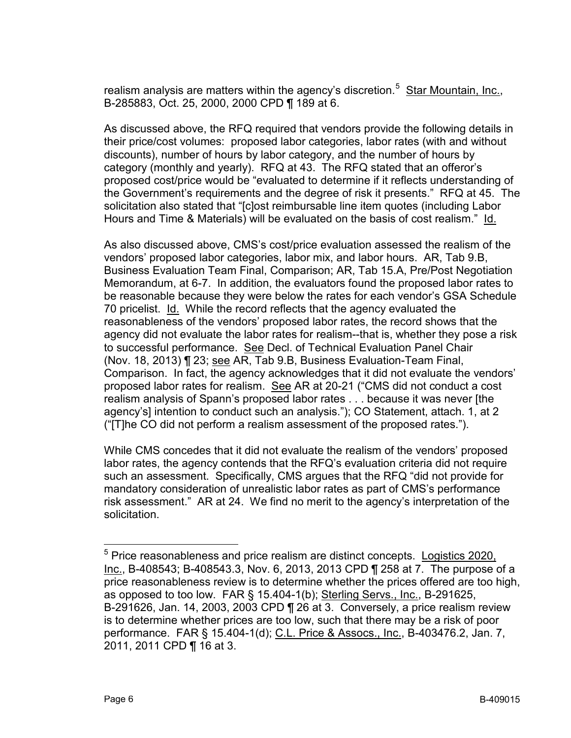realism analysis are matters within the agency's discretion.<sup>[5](#page-5-0)</sup> Star Mountain, Inc., B-285883, Oct. 25, 2000, 2000 CPD ¶ 189 at 6.

As discussed above, the RFQ required that vendors provide the following details in their price/cost volumes: proposed labor categories, labor rates (with and without discounts), number of hours by labor category, and the number of hours by category (monthly and yearly). RFQ at 43. The RFQ stated that an offeror's proposed cost/price would be "evaluated to determine if it reflects understanding of the Government's requirements and the degree of risk it presents." RFQ at 45. The solicitation also stated that "[c]ost reimbursable line item quotes (including Labor Hours and Time & Materials) will be evaluated on the basis of cost realism." Id.

As also discussed above, CMS's cost/price evaluation assessed the realism of the vendors' proposed labor categories, labor mix, and labor hours. AR, Tab 9.B, Business Evaluation Team Final, Comparison; AR, Tab 15.A, Pre/Post Negotiation Memorandum, at 6-7. In addition, the evaluators found the proposed labor rates to be reasonable because they were below the rates for each vendor's GSA Schedule 70 pricelist. Id. While the record reflects that the agency evaluated the reasonableness of the vendors' proposed labor rates, the record shows that the agency did not evaluate the labor rates for realism--that is, whether they pose a risk to successful performance. See Decl. of Technical Evaluation Panel Chair (Nov. 18, 2013) ¶ 23; see AR, Tab 9.B, Business Evaluation-Team Final, Comparison. In fact, the agency acknowledges that it did not evaluate the vendors' proposed labor rates for realism. See AR at 20-21 ("CMS did not conduct a cost realism analysis of Spann's proposed labor rates . . . because it was never [the agency's] intention to conduct such an analysis."); CO Statement, attach. 1, at 2 ("[T]he CO did not perform a realism assessment of the proposed rates.").

While CMS concedes that it did not evaluate the realism of the vendors' proposed labor rates, the agency contends that the RFQ's evaluation criteria did not require such an assessment. Specifically, CMS argues that the RFQ "did not provide for mandatory consideration of unrealistic labor rates as part of CMS's performance risk assessment." AR at 24. We find no merit to the agency's interpretation of the solicitation.

<span id="page-5-0"></span> $5$  Price reasonableness and price realism are distinct concepts. Logistics 2020, Inc., B-408543; B-408543.3, Nov. 6, 2013, 2013 CPD ¶ 258 at 7. The purpose of a price reasonableness review is to determine whether the prices offered are too high, as opposed to too low. FAR § 15.404-1(b); Sterling Servs., Inc., B-291625, B-291626, Jan. 14, 2003, 2003 CPD ¶ 26 at 3. Conversely, a price realism review is to determine whether prices are too low, such that there may be a risk of poor performance. FAR § 15.404-1(d); C.L. Price & Assocs., Inc., B-403476.2, Jan. 7, 2011, 2011 CPD ¶ 16 at 3.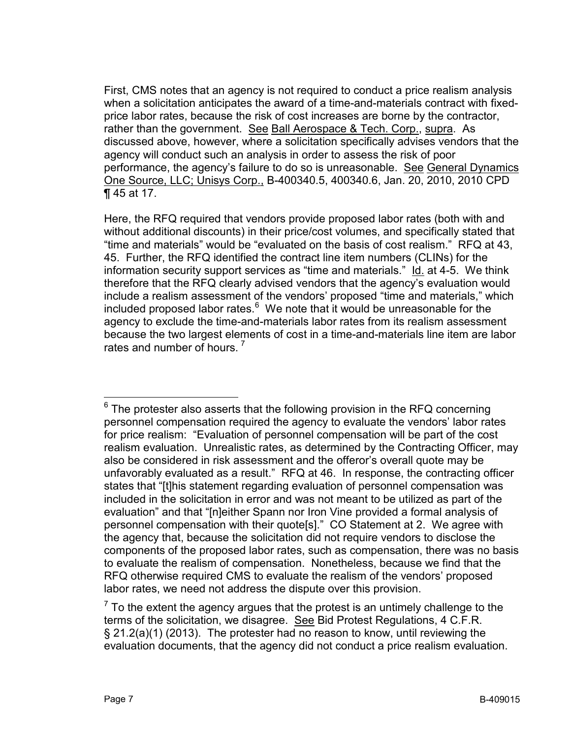First, CMS notes that an agency is not required to conduct a price realism analysis when a solicitation anticipates the award of a time-and-materials contract with fixedprice labor rates, because the risk of cost increases are borne by the contractor, rather than the government. See Ball Aerospace & Tech. Corp., supra. As discussed above, however, where a solicitation specifically advises vendors that the agency will conduct such an analysis in order to assess the risk of poor performance, the agency's failure to do so is unreasonable. See General Dynamics One Source, LLC; Unisys Corp., B-400340.5, 400340.6, Jan. 20, 2010, 2010 CPD ¶ 45 at 17.

Here, the RFQ required that vendors provide proposed labor rates (both with and without additional discounts) in their price/cost volumes, and specifically stated that "time and materials" would be "evaluated on the basis of cost realism." RFQ at 43, 45. Further, the RFQ identified the contract line item numbers (CLINs) for the information security support services as "time and materials."  $\underline{Id}$  at 4-5. We think therefore that the RFQ clearly advised vendors that the agency's evaluation would include a realism assessment of the vendors' proposed "time and materials," which included proposed labor rates. $^6$  $^6$  We note that it would be unreasonable for the agency to exclude the time-and-materials labor rates from its realism assessment because the two largest elements of cost in a time-and-materials line item are labor rates and number of hours.<sup>[7](#page-6-1)</sup>

<span id="page-6-0"></span> $6$  The protester also asserts that the following provision in the RFQ concerning personnel compensation required the agency to evaluate the vendors' labor rates for price realism: "Evaluation of personnel compensation will be part of the cost realism evaluation. Unrealistic rates, as determined by the Contracting Officer, may also be considered in risk assessment and the offeror's overall quote may be unfavorably evaluated as a result." RFQ at 46. In response, the contracting officer states that "[t]his statement regarding evaluation of personnel compensation was included in the solicitation in error and was not meant to be utilized as part of the evaluation" and that "[n]either Spann nor Iron Vine provided a formal analysis of personnel compensation with their quote[s]." CO Statement at 2. We agree with the agency that, because the solicitation did not require vendors to disclose the components of the proposed labor rates, such as compensation, there was no basis to evaluate the realism of compensation. Nonetheless, because we find that the RFQ otherwise required CMS to evaluate the realism of the vendors' proposed labor rates, we need not address the dispute over this provision.

<span id="page-6-1"></span> $<sup>7</sup>$  To the extent the agency argues that the protest is an untimely challenge to the</sup> terms of the solicitation, we disagree. See Bid Protest Regulations, 4 C.F.R. § 21.2(a)(1) (2013). The protester had no reason to know, until reviewing the evaluation documents, that the agency did not conduct a price realism evaluation.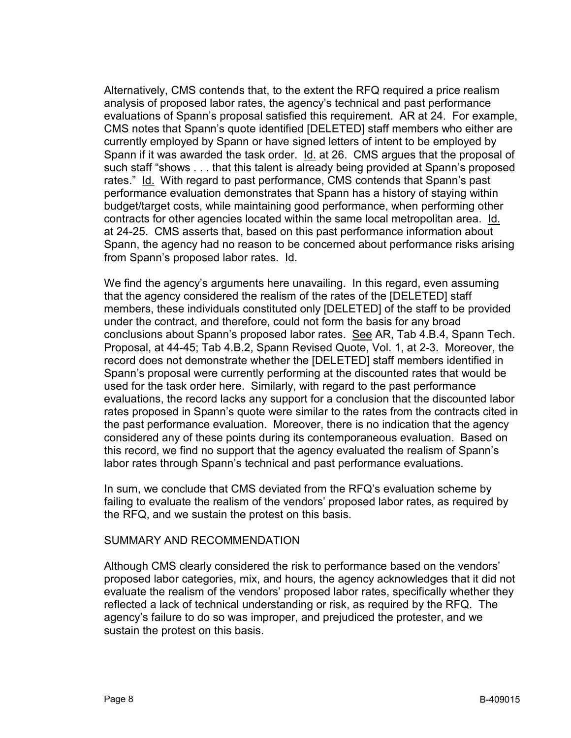Alternatively, CMS contends that, to the extent the RFQ required a price realism analysis of proposed labor rates, the agency's technical and past performance evaluations of Spann's proposal satisfied this requirement. AR at 24. For example, CMS notes that Spann's quote identified [DELETED] staff members who either are currently employed by Spann or have signed letters of intent to be employed by Spann if it was awarded the task order. Id. at 26. CMS argues that the proposal of such staff "shows . . . that this talent is already being provided at Spann's proposed rates." Id. With regard to past performance, CMS contends that Spann's past performance evaluation demonstrates that Spann has a history of staying within budget/target costs, while maintaining good performance, when performing other contracts for other agencies located within the same local metropolitan area. Id. at 24-25. CMS asserts that, based on this past performance information about Spann, the agency had no reason to be concerned about performance risks arising from Spann's proposed labor rates. Id.

We find the agency's arguments here unavailing. In this regard, even assuming that the agency considered the realism of the rates of the [DELETED] staff members, these individuals constituted only [DELETED] of the staff to be provided under the contract, and therefore, could not form the basis for any broad conclusions about Spann's proposed labor rates. See AR, Tab 4.B.4, Spann Tech. Proposal, at 44-45; Tab 4.B.2, Spann Revised Quote, Vol. 1, at 2-3. Moreover, the record does not demonstrate whether the [DELETED] staff members identified in Spann's proposal were currently performing at the discounted rates that would be used for the task order here. Similarly, with regard to the past performance evaluations, the record lacks any support for a conclusion that the discounted labor rates proposed in Spann's quote were similar to the rates from the contracts cited in the past performance evaluation. Moreover, there is no indication that the agency considered any of these points during its contemporaneous evaluation. Based on this record, we find no support that the agency evaluated the realism of Spann's labor rates through Spann's technical and past performance evaluations.

In sum, we conclude that CMS deviated from the RFQ's evaluation scheme by failing to evaluate the realism of the vendors' proposed labor rates, as required by the RFQ, and we sustain the protest on this basis.

#### SUMMARY AND RECOMMENDATION

Although CMS clearly considered the risk to performance based on the vendors' proposed labor categories, mix, and hours, the agency acknowledges that it did not evaluate the realism of the vendors' proposed labor rates, specifically whether they reflected a lack of technical understanding or risk, as required by the RFQ. The agency's failure to do so was improper, and prejudiced the protester, and we sustain the protest on this basis.